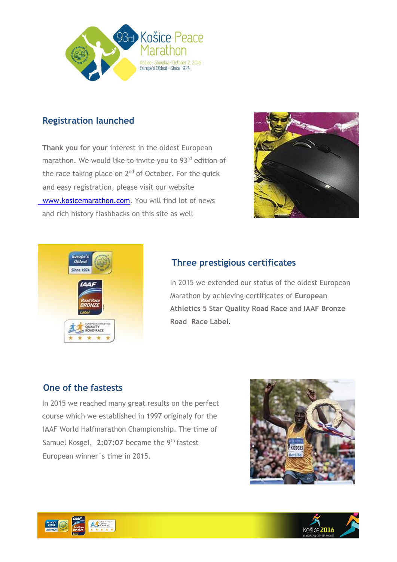

# **Registration launched**

**Thank you for your** interest in the oldest European marathon. We would like to invite you to 93rd edition of the race taking place on  $2<sup>nd</sup>$  of October. For the quick and easy registration, please visit our website [www.kosicemarathon.com.](http://www.kosicemarathon.com/) You will find lot of news and rich history flashbacks on this site as well





# **Three prestigious certificates**

In 2015 we extended our status of the oldest European Marathon by achieving certificates of **European Athletics 5 Star Quality Road Race** and **IAAF Bronze Road Race Label**.

### **One of the fastests**

In 2015 we reached many great results on the perfect course which we established in 1997 originaly for the IAAF World Halfmarathon Championship. The time of Samuel Kosgei, **2:07:07** became the 9th fastest European winner´s time in 2015.





 $\overline{\phantom{a}}$